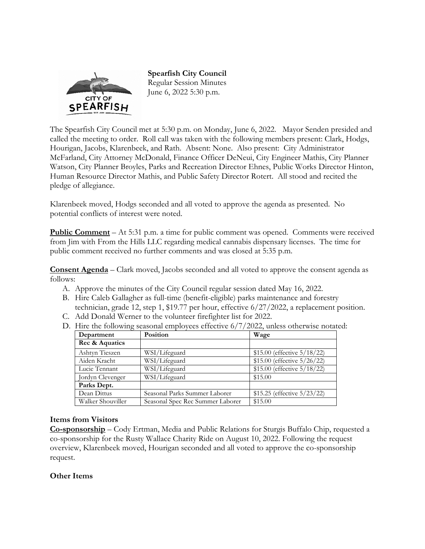

**Spearfish City Council**  Regular Session Minutes June 6, 2022 5:30 p.m.

The Spearfish City Council met at 5:30 p.m. on Monday, June 6, 2022. Mayor Senden presided and called the meeting to order. Roll call was taken with the following members present: Clark, Hodgs, Hourigan, Jacobs, Klarenbeek, and Rath. Absent: None. Also present: City Administrator McFarland, City Attorney McDonald, Finance Officer DeNeui, City Engineer Mathis, City Planner Watson, City Planner Broyles, Parks and Recreation Director Ehnes, Public Works Director Hinton, Human Resource Director Mathis, and Public Safety Director Rotert. All stood and recited the pledge of allegiance.

Klarenbeek moved, Hodgs seconded and all voted to approve the agenda as presented. No potential conflicts of interest were noted.

**Public Comment** – At 5:31 p.m. a time for public comment was opened. Comments were received from Jim with From the Hills LLC regarding medical cannabis dispensary licenses. The time for public comment received no further comments and was closed at 5:35 p.m.

**Consent Agenda** – Clark moved, Jacobs seconded and all voted to approve the consent agenda as follows:

- A. Approve the minutes of the City Council regular session dated May 16, 2022.
- B. Hire Caleb Gallagher as full-time (benefit-eligible) parks maintenance and forestry technician, grade 12, step 1, \$19.77 per hour, effective 6/27/2022, a replacement position.
- C. Add Donald Werner to the volunteer firefighter list for 2022.
- D. Hire the following seasonal employees effective 6/7/2022, unless otherwise notated:

| Department        | Position                         | Wage                           |  |  |
|-------------------|----------------------------------|--------------------------------|--|--|
| Rec & Aquatics    |                                  |                                |  |  |
| Ashtyn Tieszen    | WSI/Lifeguard                    | \$15.00 (effective 5/18/22)    |  |  |
| Aiden Kracht      | WSI/Lifeguard                    | \$15.00 (effective $5/26/22$ ) |  |  |
| Lucie Tennant     | WSI/Lifeguard                    | \$15.00 (effective 5/18/22)    |  |  |
| Jordyn Clevenger  | WSI/Lifeguard                    | \$15.00                        |  |  |
| Parks Dept.       |                                  |                                |  |  |
| Dean Dittus       | Seasonal Parks Summer Laborer    | \$15.25 (effective 5/23/22)    |  |  |
| Walker Shouviller | Seasonal Spec Rec Summer Laborer | \$15.00                        |  |  |

#### **Items from Visitors**

**Co-sponsorship** – Cody Ertman, Media and Public Relations for Sturgis Buffalo Chip, requested a co-sponsorship for the Rusty Wallace Charity Ride on August 10, 2022. Following the request overview, Klarenbeek moved, Hourigan seconded and all voted to approve the co-sponsorship request.

## **Other Items**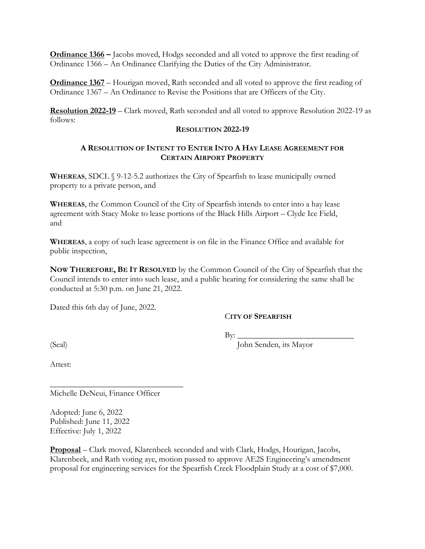**Ordinance 1366 –** Jacobs moved, Hodgs seconded and all voted to approve the first reading of Ordinance 1366 – An Ordinance Clarifying the Duties of the City Administrator.

**Ordinance 1367** – Hourigan moved, Rath seconded and all voted to approve the first reading of Ordinance 1367 – An Ordinance to Revise the Positions that are Officers of the City.

**Resolution 2022-19** – Clark moved, Rath seconded and all voted to approve Resolution 2022-19 as follows:

#### **RESOLUTION 2022-19**

## **A RESOLUTION OF INTENT TO ENTER INTO A HAY LEASE AGREEMENT FOR CERTAIN AIRPORT PROPERTY**

**WHEREAS**, SDCL § 9-12-5.2 authorizes the City of Spearfish to lease municipally owned property to a private person, and

**WHEREAS**, the Common Council of the City of Spearfish intends to enter into a hay lease agreement with Stacy Moke to lease portions of the Black Hills Airport – Clyde Ice Field, and

**WHEREAS**, a copy of such lease agreement is on file in the Finance Office and available for public inspection,

**NOW THEREFORE, BE IT RESOLVED** by the Common Council of the City of Spearfish that the Council intends to enter into such lease, and a public hearing for considering the same shall be conducted at 5:30 p.m. on June 21, 2022.

Dated this 6th day of June, 2022.

## C**ITY OF SPEARFISH**

By: \_\_\_\_\_\_\_\_\_\_\_\_\_\_\_\_\_\_\_\_\_\_\_\_\_\_\_\_

(Seal) John Senden, its Mayor

Attest:

Michelle DeNeui, Finance Officer

\_\_\_\_\_\_\_\_\_\_\_\_\_\_\_\_\_\_\_\_\_\_\_\_\_\_\_\_\_\_\_\_

Adopted: June 6, 2022 Published: June 11, 2022 Effective: July 1, 2022

**Proposal** – Clark moved, Klarenbeek seconded and with Clark, Hodgs, Hourigan, Jacobs, Klarenbeek, and Rath voting aye, motion passed to approve AE2S Engineering's amendment proposal for engineering services for the Spearfish Creek Floodplain Study at a cost of \$7,000.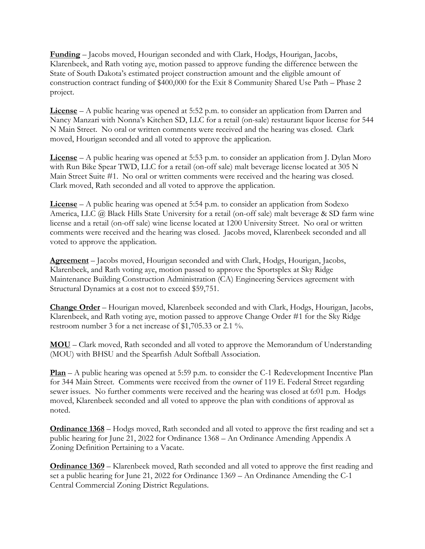**Funding** – Jacobs moved, Hourigan seconded and with Clark, Hodgs, Hourigan, Jacobs, Klarenbeek, and Rath voting aye, motion passed to approve funding the difference between the State of South Dakota's estimated project construction amount and the eligible amount of construction contract funding of \$400,000 for the Exit 8 Community Shared Use Path – Phase 2 project.

**License** – A public hearing was opened at 5:52 p.m. to consider an application from Darren and Nancy Manzari with Nonna's Kitchen SD, LLC for a retail (on-sale) restaurant liquor license for 544 N Main Street. No oral or written comments were received and the hearing was closed. Clark moved, Hourigan seconded and all voted to approve the application.

**License** – A public hearing was opened at 5:53 p.m. to consider an application from J. Dylan Moro with Run Bike Spear TWD, LLC for a retail (on-off sale) malt beverage license located at 305 N Main Street Suite #1. No oral or written comments were received and the hearing was closed. Clark moved, Rath seconded and all voted to approve the application.

**License** – A public hearing was opened at 5:54 p.m. to consider an application from Sodexo America, LLC @ Black Hills State University for a retail (on-off sale) malt beverage & SD farm wine license and a retail (on-off sale) wine license located at 1200 University Street. No oral or written comments were received and the hearing was closed. Jacobs moved, Klarenbeek seconded and all voted to approve the application.

**Agreement** – Jacobs moved, Hourigan seconded and with Clark, Hodgs, Hourigan, Jacobs, Klarenbeek, and Rath voting aye, motion passed to approve the Sportsplex at Sky Ridge Maintenance Building Construction Administration (CA) Engineering Services agreement with Structural Dynamics at a cost not to exceed \$59,751.

**Change Order** – Hourigan moved, Klarenbeek seconded and with Clark, Hodgs, Hourigan, Jacobs, Klarenbeek, and Rath voting aye, motion passed to approve Change Order #1 for the Sky Ridge restroom number 3 for a net increase of \$1,705.33 or 2.1 %.

**MOU** – Clark moved, Rath seconded and all voted to approve the Memorandum of Understanding (MOU) with BHSU and the Spearfish Adult Softball Association.

**Plan** – A public hearing was opened at 5:59 p.m. to consider the C-1 Redevelopment Incentive Plan for 344 Main Street. Comments were received from the owner of 119 E. Federal Street regarding sewer issues. No further comments were received and the hearing was closed at 6:01 p.m. Hodgs moved, Klarenbeek seconded and all voted to approve the plan with conditions of approval as noted.

**Ordinance 1368** – Hodgs moved, Rath seconded and all voted to approve the first reading and set a public hearing for June 21, 2022 for Ordinance 1368 – An Ordinance Amending Appendix A Zoning Definition Pertaining to a Vacate.

**Ordinance 1369** – Klarenbeek moved, Rath seconded and all voted to approve the first reading and set a public hearing for June 21, 2022 for Ordinance 1369 – An Ordinance Amending the C-1 Central Commercial Zoning District Regulations.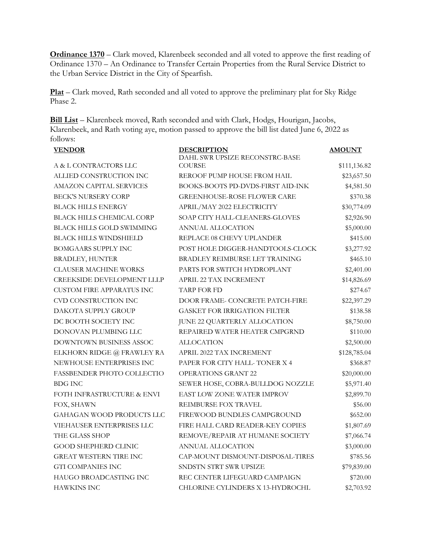**Ordinance 1370** – Clark moved, Klarenbeek seconded and all voted to approve the first reading of Ordinance 1370 – An Ordinance to Transfer Certain Properties from the Rural Service District to the Urban Service District in the City of Spearfish.

**Plat** – Clark moved, Rath seconded and all voted to approve the preliminary plat for Sky Ridge Phase 2.

**Bill List** – Klarenbeek moved, Rath seconded and with Clark, Hodgs, Hourigan, Jacobs, Klarenbeek, and Rath voting aye, motion passed to approve the bill list dated June 6, 2022 as follows:

| <b>VENDOR</b>                     | <b>DESCRIPTION</b>                              | <b>AMOUNT</b> |
|-----------------------------------|-------------------------------------------------|---------------|
| A & L CONTRACTORS LLC             | DAHL SWR UPSIZE RECONSTRC-BASE<br><b>COURSE</b> | \$111,136.82  |
| ALLIED CONSTRUCTION INC           | REROOF PUMP HOUSE FROM HAIL                     | \$23,657.50   |
| <b>AMAZON CAPITAL SERVICES</b>    | BOOKS-BOOTS PD-DVDS-FIRST AID-INK               | \$4,581.50    |
| <b>BECK'S NURSERY CORP</b>        | <b>GREENHOUSE-ROSE FLOWER CARE</b>              | \$370.38      |
| <b>BLACK HILLS ENERGY</b>         | APRIL/MAY 2022 ELECTRICITY                      | \$30,774.09   |
| <b>BLACK HILLS CHEMICAL CORP</b>  | SOAP CITY HALL-CLEANERS-GLOVES                  | \$2,926.90    |
| BLACK HILLS GOLD SWIMMING         | ANNUAL ALLOCATION                               | \$5,000.00    |
| <b>BLACK HILLS WINDSHIELD</b>     |                                                 |               |
| BOMGAARS SUPPLY INC               | REPLACE 08 CHEVY UPLANDER                       | \$415.00      |
|                                   | POST HOLE DIGGER-HANDTOOLS-CLOCK                | \$3,277.92    |
| <b>BRADLEY, HUNTER</b>            | BRADLEY REIMBURSE LET TRAINING                  | \$465.10      |
| <b>CLAUSER MACHINE WORKS</b>      | PARTS FOR SWITCH HYDROPLANT                     | \$2,401.00    |
| <b>CREEKSIDE DEVELOPMENT LLLP</b> | APRIL 22 TAX INCREMENT                          | \$14,826.69   |
| <b>CUSTOM FIRE APPARATUS INC</b>  | <b>TARP FOR FD</b>                              | \$274.67      |
| CVD CONSTRUCTION INC              | DOOR FRAME- CONCRETE PATCH-FIRE                 | \$22,397.29   |
| DAKOTA SUPPLY GROUP               | <b>GASKET FOR IRRIGATION FILTER</b>             | \$138.58      |
| DC BOOTH SOCIETY INC              | JUNE 22 QUARTERLY ALLOCATION                    | \$8,750.00    |
| DONOVAN PLUMBING LLC              | REPAIRED WATER HEATER CMPGRND                   | \$110.00      |
| DOWNTOWN BUSINESS ASSOC           | <b>ALLOCATION</b>                               | \$2,500.00    |
| ELKHORN RIDGE @ FRAWLEY RA        | APRIL 2022 TAX INCREMENT                        | \$128,785.04  |
| NEWHOUSE ENTERPRISES INC          | PAPER FOR CITY HALL-TONER X 4                   | \$368.87      |
| FASSBENDER PHOTO COLLECTIO        | <b>OPERATIONS GRANT 22</b>                      | \$20,000.00   |
| <b>BDG INC</b>                    | SEWER HOSE, COBRA-BULLDOG NOZZLE                | \$5,971.40    |
| FOTH INFRASTRUCTURE & ENVI        | <b>EAST LOW ZONE WATER IMPROV</b>               | \$2,899.70    |
| FOX, SHAWN                        | <b>REIMBURSE FOX TRAVEL</b>                     | \$56.00       |
| GAHAGAN WOOD PRODUCTS LLC         | FIREWOOD BUNDLES CAMPGROUND                     | \$652.00      |
| VIEHAUSER ENTERPRISES LLC         | FIRE HALL CARD READER-KEY COPIES                | \$1,807.69    |
| THE GLASS SHOP                    | REMOVE/REPAIR AT HUMANE SOCIETY                 | \$7,066.74    |
| <b>GOOD SHEPHERD CLINIC</b>       | ANNUAL ALLOCATION                               | \$3,000.00    |
| <b>GREAT WESTERN TIRE INC</b>     | CAP-MOUNT DISMOUNT-DISPOSAL-TIRES               | \$785.56      |
| <b>GTI COMPANIES INC</b>          | SNDSTN STRT SWR UPSIZE                          | \$79,839.00   |
| HAUGO BROADCASTING INC            | REC CENTER LIFEGUARD CAMPAIGN                   | \$720.00      |
| <b>HAWKINS INC</b>                | CHLORINE CYLINDERS X 13-HYDROCHL                | \$2,703.92    |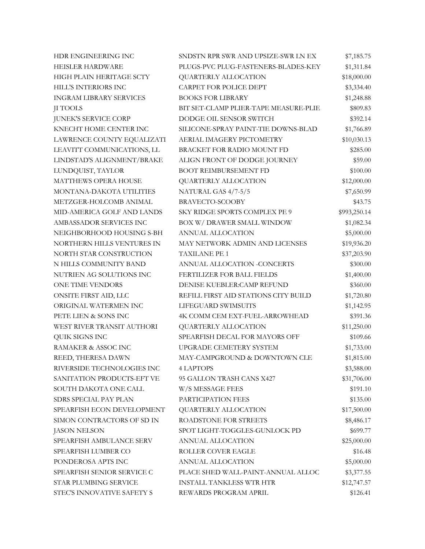| HDR ENGINEERING INC            | SNDSTN RPR SWR AND UPSIZE-SWR LN EX   | \$7,185.75   |
|--------------------------------|---------------------------------------|--------------|
| HEISLER HARDWARE               | PLUGS-PVC PLUG-FASTENERS-BLADES-KEY   | \$1,311.84   |
| HIGH PLAIN HERITAGE SCTY       | QUARTERLY ALLOCATION                  | \$18,000.00  |
| HILL'S INTERIORS INC           | CARPET FOR POLICE DEPT                | \$3,334.40   |
| <b>INGRAM LIBRARY SERVICES</b> | <b>BOOKS FOR LIBRARY</b>              | \$1,248.88   |
| <b>II TOOLS</b>                | BIT SET-CLAMP PLIER-TAPE MEASURE-PLIE | \$809.83     |
| JUNEK'S SERVICE CORP           | DODGE OIL SENSOR SWITCH               | \$392.14     |
| KNECHT HOME CENTER INC         | SILICONE-SPRAY PAINT-TIE DOWNS-BLAD   | \$1,766.89   |
| LAWRENCE COUNTY EQUALIZATI     | AERIAL IMAGERY PICTOMETRY             | \$10,030.13  |
| LEAVITT COMMUNICATIONS, LL     | BRACKET FOR RADIO MOUNT FD            | \$285.00     |
| LINDSTAD'S ALIGNMENT/BRAKE     | ALIGN FRONT OF DODGE JOURNEY          | \$59.00      |
| LUNDQUIST, TAYLOR              | <b>BOOT REIMBURSEMENT FD</b>          | \$100.00     |
| MATTHEWS OPERA HOUSE           | QUARTERLY ALLOCATION                  | \$12,000.00  |
| MONTANA-DAKOTA UTILITIES       | NATURAL GAS 4/7-5/5                   | \$7,650.99   |
| METZGER-HOLCOMB ANIMAL         | BRAVECTO-SCOOBY                       | \$43.75      |
| MID-AMERICA GOLF AND LANDS     | SKY RIDGE SPORTS COMPLEX PE 9         | \$993,250.14 |
| AMBASSADOR SERVICES INC        | BOX W/ DRAWER SMALL WINDOW            | \$1,082.34   |
| NEIGHBORHOOD HOUSING S-BH      | ANNUAL ALLOCATION                     | \$5,000.00   |
| NORTHERN HILLS VENTURES IN     | MAY NETWORK ADMIN AND LICENSES        | \$19,936.20  |
| NORTH STAR CONSTRUCTION        | <b>TAXILANE PE 1</b>                  | \$37,203.90  |
| N HILLS COMMUNITY BAND         | ANNUAL ALLOCATION -CONCERTS           | \$300.00     |
| NUTRIEN AG SOLUTIONS INC       | FERTILIZER FOR BALL FIELDS            | \$1,400.00   |
| <b>ONE TIME VENDORS</b>        | DENISE KUEBLER: CAMP REFUND           | \$360.00     |
| ONSITE FIRST AID, LLC          | REFILL FIRST AID STATIONS CITY BUILD  | \$1,720.80   |
| ORIGINAL WATERMEN INC          | LIFEGUARD SWIMSUITS                   | \$1,142.95   |
| PETE LIEN & SONS INC           | 4K COMM CEM EXT-FUEL-ARROWHEAD        | \$391.36     |
| WEST RIVER TRANSIT AUTHORI     | QUARTERLY ALLOCATION                  | \$11,250.00  |
| QUIK SIGNS INC                 | SPEARFISH DECAL FOR MAYORS OFF        | \$109.66     |
| RAMAKER & ASSOC INC            | UPGRADE CEMETERY SYSTEM               | \$1,733.00   |
| REED, THERESA DAWN             | MAY-CAMPGROUND & DOWNTOWN CLE         | \$1,815.00   |
| RIVERSIDE TECHNOLOGIES INC     | <b>4 LAPTOPS</b>                      | \$3,588.00   |
| SANITATION PRODUCTS-EFT VE     | 95 GALLON TRASH CANS X427             | \$31,706.00  |
| SOUTH DAKOTA ONE CALL          | W/S MESSAGE FEES                      | \$191.10     |
| SDRS SPECIAL PAY PLAN          | PARTICIPATION FEES                    | \$135.00     |
| SPEARFISH ECON DEVELOPMENT     | QUARTERLY ALLOCATION                  | \$17,500.00  |
| SIMON CONTRACTORS OF SD IN     | ROADSTONE FOR STREETS                 | \$8,486.17   |
| <b>JASON NELSON</b>            | SPOT LIGHT-TOGGLES-GUNLOCK PD         | \$699.77     |
| SPEARFISH AMBULANCE SERV       | ANNUAL ALLOCATION                     | \$25,000.00  |
| SPEARFISH LUMBER CO            | ROLLER COVER EAGLE                    | \$16.48      |
| PONDEROSA APTS INC             | ANNUAL ALLOCATION                     | \$5,000.00   |
| SPEARFISH SENIOR SERVICE C     | PLACE SHED WALL-PAINT-ANNUAL ALLOC    | \$3,377.55   |
| STAR PLUMBING SERVICE          | <b>INSTALL TANKLESS WTR HTR</b>       | \$12,747.57  |
| STEC'S INNOVATIVE SAFETY S     | REWARDS PROGRAM APRIL                 | \$126.41     |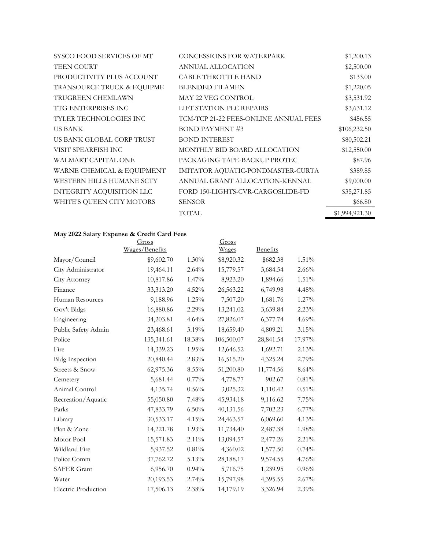| SYSCO FOOD SERVICES OF MT  | <b>CONCESSIONS FOR WATERPARK</b>      | \$1,200.13     |
|----------------------------|---------------------------------------|----------------|
| <b>TEEN COURT</b>          | ANNUAL ALLOCATION                     | \$2,500.00     |
| PRODUCTIVITY PLUS ACCOUNT  | <b>CABLE THROTTLE HAND</b>            | \$133.00       |
| TRANSOURCE TRUCK & EQUIPME | <b>BLENDED FILAMEN</b>                | \$1,220.05     |
| TRUGREEN CHEMLAWN          | MAY 22 VEG CONTROL                    | \$3,531.92     |
| TTG ENTERPRISES INC        | LIFT STATION PLC REPAIRS              | \$3,631.12     |
| TYLER TECHNOLOGIES INC     | TCM-TCP 21-22 FEES-ONLINE ANNUAL FEES | \$456.55       |
| US BANK                    | <b>BOND PAYMENT #3</b>                | \$106,232.50   |
| US BANK GLOBAL CORP TRUST  | <b>BOND INTEREST</b>                  | \$80,502.21    |
| VISIT SPEARFISH INC        | MONTHLY BID BOARD ALLOCATION          | \$12,550.00    |
| WALMART CAPITAL ONE        | PACKAGING TAPE-BACKUP PROTEC          | \$87.96        |
| WARNE CHEMICAL & EQUIPMENT | IMITATOR AQUATIC-PONDMASTER-CURTA     | \$389.85       |
| WESTERN HILLS HUMANE SCTY  | ANNUAL GRANT ALLOCATION-KENNAL        | \$9,000.00     |
| INTEGRITY ACQUISITION LLC  | FORD 150-LIGHTS-CVR-CARGOSLIDE-FD     | \$35,271.85    |
| WHITE'S QUEEN CITY MOTORS  | <b>SENSOR</b>                         | \$66.80        |
|                            | <b>TOTAL</b>                          | \$1,994,921.30 |

# **May 2022 Salary Expense & Credit Card Fees**

|                            | Gross          |          | Gross      |                 |          |
|----------------------------|----------------|----------|------------|-----------------|----------|
|                            | Wages/Benefits |          | Wages      | <b>Benefits</b> |          |
| Mayor/Council              | \$9,602.70     | 1.30%    | \$8,920.32 | \$682.38        | 1.51%    |
| City Administrator         | 19,464.11      | 2.64%    | 15,779.57  | 3,684.54        | $2.66\%$ |
| City Attorney              | 10,817.86      | $1.47\%$ | 8,923.20   | 1,894.66        | 1.51%    |
| Finance                    | 33,313.20      | 4.52%    | 26,563.22  | 6,749.98        | 4.48%    |
| Human Resources            | 9,188.96       | 1.25%    | 7,507.20   | 1,681.76        | 1.27%    |
| Gov't Bldgs                | 16,880.86      | 2.29%    | 13,241.02  | 3,639.84        | 2.23%    |
| Engineering                | 34,203.81      | 4.64%    | 27,826.07  | 6,377.74        | 4.69%    |
| Public Safety Admin        | 23,468.61      | 3.19%    | 18,659.40  | 4,809.21        | 3.15%    |
| Police                     | 135,341.61     | 18.38%   | 106,500.07 | 28,841.54       | 17.97%   |
| Fire                       | 14,339.23      | $1.95\%$ | 12,646.52  | 1,692.71        | 2.13%    |
| <b>Bldg Inspection</b>     | 20,840.44      | 2.83%    | 16,515.20  | 4,325.24        | 2.79%    |
| Streets & Snow             | 62,975.36      | $8.55\%$ | 51,200.80  | 11,774.56       | 8.64%    |
| Cemetery                   | 5,681.44       | $0.77\%$ | 4,778.77   | 902.67          | 0.81%    |
| Animal Control             | 4,135.74       | 0.56%    | 3,025.32   | 1,110.42        | 0.51%    |
| Recreation/Aquatic         | 55,050.80      | 7.48%    | 45,934.18  | 9,116.62        | 7.75%    |
| Parks                      | 47,833.79      | $6.50\%$ | 40,131.56  | 7,702.23        | $6.77\%$ |
| Library                    | 30,533.17      | 4.15%    | 24,463.57  | 6,069.60        | 4.13%    |
| Plan & Zone                | 14,221.78      | 1.93%    | 11,734.40  | 2,487.38        | 1.98%    |
| Motor Pool                 | 15,571.83      | $2.11\%$ | 13,094.57  | 2,477.26        | 2.21%    |
| Wildland Fire              | 5,937.52       | 0.81%    | 4,360.02   | 1,577.50        | 0.74%    |
| Police Comm                | 37,762.72      | 5.13%    | 28,188.17  | 9,574.55        | 4.76%    |
| <b>SAFER Grant</b>         | 6,956.70       | 0.94%    | 5,716.75   | 1,239.95        | 0.96%    |
| Water                      | 20,193.53      | 2.74%    | 15,797.98  | 4,395.55        | 2.67%    |
| <b>Electric Production</b> | 17,506.13      | 2.38%    | 14,179.19  | 3,326.94        | $2.39\%$ |